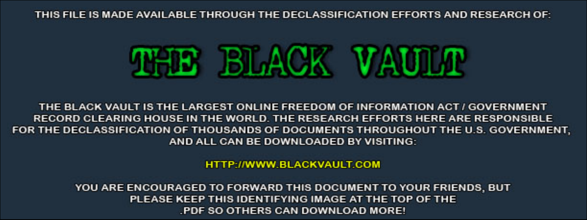THIS FILE IS MADE AVAILABLE THROUGH THE DECLASSIFICATION EFFORTS AND RESEARCH OF:



THE BLACK VAULT IS THE LARGEST ONLINE FREEDOM OF INFORMATION ACT / GOVERNMENT RECORD CLEARING HOUSE IN THE WORLD. THE RESEARCH EFFORTS HERE ARE RESPONSIBLE FOR THE DECLASSIFICATION OF THOUSANDS OF DOCUMENTS THROUGHOUT THE U.S. GOVERNMENT, AND ALL CAN BE DOWNLOADED BY VISITING:

**HTTP://WWW.BLACKVAULT.COM** 

YOU ARE ENCOURAGED TO FORWARD THIS DOCUMENT TO YOUR FRIENDS, BUT PLEASE KEEP THIS IDENTIFYING IMAGE AT THE TOP OF THE PDF SO OTHERS CAN DOWNLOAD MORE!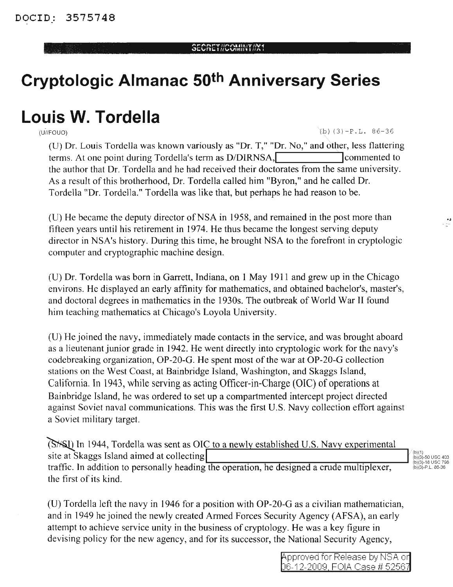## SEORETHOOMINITHN+

## **Cryptologic Almanac 50th Anniversary Series**

## **Louis W. Tordella**  $\frac{1}{(U/H\cap U\cap U)}$

(U) Dr. Louis Tordella was known variously as "Dr. T," "Dr. No," and other, less flattering terms. At one point during Tordella's term as D/DIRNSA, commented to the author that Dr. Tordella and he had received their doctorates from the same university. As a result of this brotherhood, Dr. Tordella called him "Byron," and he called Dr. Tordella "Dr. Tordella." Tordella was like that, but perhaps he had reason to be.

(U) He became the deputy director of NSA in 1958, and remained in the post more than fifteen years until his retirement in 1974. He thus became the longest serving deputy director in NSA's history. During this time, he brought NSA to the forefront in cryptologic computer and cryptographic machine design.

(U) Dr. Tordella was born in Garrett, Indiana, on 1 May 1911 and grew up in the Chicago environs. He displayed an early affinity for mathematics, and obtained bachelor's, master's, and doctoral degrees in mathematics in the 1930s. The outbreak of World War II found him teaching mathematics at Chicago's Loyola University.

(U) He joined the navy, immediately made contacts in the service, and was brought aboard as a lieutenant junior grade in 1942. He went directly into cryptologic work for the navy's codebreaking organization, OP-20-G. He spent most of the war at OP-20-G collection stations on the West Coast, at Bainbridge Island, Washington, and Skaggs Island, California. In 1943, while serving as acting Officer-in-Charge (OIC) of operations at Bainbridge Island, he was ordered to set up a compartmented intercept project directed against Soviet naval communications. This was the first U.S. Navy collection effort against a Soviet military target.

**(SXSL)** In 1944, Tordella was sent as OIC to a newly established U.S. Navy experimental site at Skaggs Island aimed at collecting<br>traffic. In addition to personally heading the operation, he designed a crude multiplexer, the first of its kind.

..

(U) Tordella left the navy in 1946 for a position with OP-20-G as a civilian mathematician, and in 1949 he joined the newly created Armed Forces Security Agency (AFSA), an early attempt to achieve service unity in the business of cryptology. He was a key figure in devising policy for the new agency, and for its successor, the National Security Agency,

> Approved for Release by NSA or ~16-12-2CI09 FOIA, C:ase # 5256/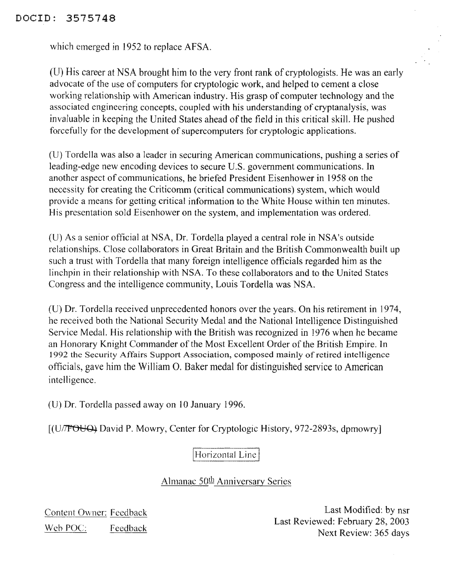## DOCID: 3575748

which emerged in 1952 to replace AFSA.

(D) His career at NSA brought him to the very front rank of cryptologists. He was an early advocate of the use of computers for cryptologic work, and helped to cement a close working relationship with American industry. His grasp of computer technology and the associated engineering concepts, coupled with his understanding of cryptanalysis, was invaluable in keeping the United States ahead of the field in this critical skill. He pushed forcefully for the development of supercomputers for cryptologic applications.

(U) Tordella was also a leader in securing American communications, pushing a series of leading-edge new encoding devices to secure U.S. government communications. In another aspect of communications, he briefed President Eisenhower in 1958 on the necessity for creating the Criticomm (critical communications) system, which would provide a means for getting critical information to the White House within ten minutes. His presentation sold Eisenhower on the system, and implementation was ordered.

(U) As a senior official at NSA, Dr. Tordella played a central role in NSA's outside relationships. Close collaborators in Great Britain and the British Commonwealth built up such a trust with Tordella that many foreign intelligence officials regarded him as the linchpin in their relationship with NSA. To these collaborators and to the United States Congress and the intelligence community, Louis Tordella was NSA.

(D) Dr. Tordella received unprecedented honors over the years. On his retirement in 1974, he received both the National Security Medal and the National Intelligence Distinguished Service Medal. His relationship with the British was recognized in 1976 when he became an Honorary Knight Commander of the Most Excellent Order of the British Empire. In 1992 the Security Affairs Support Association, composed mainly of retired intelligence officials, gave him the William O. Baker medal for distinguished service to American intelligence.

(U) Dr. Tordella passed away on 10 January 1996.

[(U/ POUQ) David P. Mowry, Center for Cryptologic History, 972-2893s, dpmowry]

Horizontal Line

Almanac 50<sup>th</sup> Anniversary Series

Content Owner: Feedback Web POC: Feedback

Last Modified: by nsr Last Reviewed: February 28,2003 Next Review: 365 days